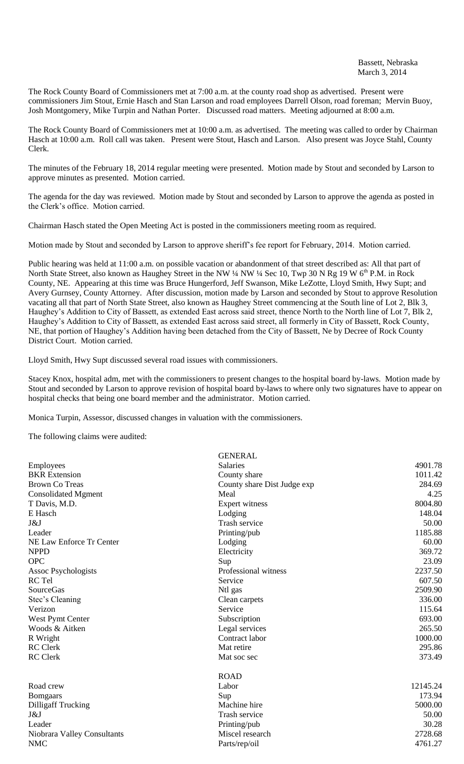The Rock County Board of Commissioners met at 7:00 a.m. at the county road shop as advertised. Present were commissioners Jim Stout, Ernie Hasch and Stan Larson and road employees Darrell Olson, road foreman; Mervin Buoy, Josh Montgomery, Mike Turpin and Nathan Porter. Discussed road matters. Meeting adjourned at 8:00 a.m.

The Rock County Board of Commissioners met at 10:00 a.m. as advertised. The meeting was called to order by Chairman Hasch at 10:00 a.m. Roll call was taken. Present were Stout, Hasch and Larson. Also present was Joyce Stahl, County Clerk.

The minutes of the February 18, 2014 regular meeting were presented. Motion made by Stout and seconded by Larson to approve minutes as presented. Motion carried.

The agenda for the day was reviewed. Motion made by Stout and seconded by Larson to approve the agenda as posted in the Clerk's office. Motion carried.

Chairman Hasch stated the Open Meeting Act is posted in the commissioners meeting room as required.

Motion made by Stout and seconded by Larson to approve sheriff's fee report for February, 2014. Motion carried.

Public hearing was held at 11:00 a.m. on possible vacation or abandonment of that street described as: All that part of North State Street, also known as Haughey Street in the NW ¼ NW ¼ Sec 10, Twp 30 N Rg 19 W 6<sup>th</sup> P.M. in Rock County, NE. Appearing at this time was Bruce Hungerford, Jeff Swanson, Mike LeZotte, Lloyd Smith, Hwy Supt; and Avery Gurnsey, County Attorney. After discussion, motion made by Larson and seconded by Stout to approve Resolution vacating all that part of North State Street, also known as Haughey Street commencing at the South line of Lot 2, Blk 3, Haughey's Addition to City of Bassett, as extended East across said street, thence North to the North line of Lot 7, Blk 2, Haughey's Addition to City of Bassett, as extended East across said street, all formerly in City of Bassett, Rock County, NE, that portion of Haughey's Addition having been detached from the City of Bassett, Ne by Decree of Rock County District Court. Motion carried.

Lloyd Smith, Hwy Supt discussed several road issues with commissioners.

Stacey Knox, hospital adm, met with the commissioners to present changes to the hospital board by-laws. Motion made by Stout and seconded by Larson to approve revision of hospital board by-laws to where only two signatures have to appear on hospital checks that being one board member and the administrator. Motion carried.

Monica Turpin, Assessor, discussed changes in valuation with the commissioners.

The following claims were audited:

|                             | <b>GENERAL</b>              |          |
|-----------------------------|-----------------------------|----------|
| Employees                   | <b>Salaries</b>             | 4901.78  |
| <b>BKR</b> Extension        | County share                | 1011.42  |
| <b>Brown Co Treas</b>       | County share Dist Judge exp | 284.69   |
| <b>Consolidated Mgment</b>  | Meal                        | 4.25     |
| T Davis, M.D.               | Expert witness              | 8004.80  |
| E Hasch                     | Lodging                     | 148.04   |
| J&J                         | Trash service               | 50.00    |
| Leader                      | Printing/pub                | 1185.88  |
| NE Law Enforce Tr Center    | Lodging                     | 60.00    |
| <b>NPPD</b>                 | Electricity                 | 369.72   |
| <b>OPC</b>                  | Sup                         | 23.09    |
| <b>Assoc Psychologists</b>  | Professional witness        | 2237.50  |
| RC Tel                      | Service                     | 607.50   |
| <b>SourceGas</b>            | Ntl gas                     | 2509.90  |
| Stec's Cleaning             | Clean carpets               | 336.00   |
| Verizon                     | Service                     | 115.64   |
| West Pymt Center            | Subscription                | 693.00   |
| Woods & Aitken              | Legal services              | 265.50   |
| R Wright                    | Contract labor              | 1000.00  |
| <b>RC</b> Clerk             | Mat retire                  | 295.86   |
| <b>RC</b> Clerk             | Mat soc sec                 | 373.49   |
|                             | <b>ROAD</b>                 |          |
| Road crew                   | Labor                       | 12145.24 |
| <b>Bomgaars</b>             | Sup                         | 173.94   |
| <b>Dilligaff Trucking</b>   | Machine hire                | 5000.00  |
| J&J                         | Trash service               | 50.00    |
| Leader                      | Printing/pub                | 30.28    |
| Niobrara Valley Consultants | Miscel research             | 2728.68  |
| <b>NMC</b>                  | Parts/rep/oil               | 4761.27  |